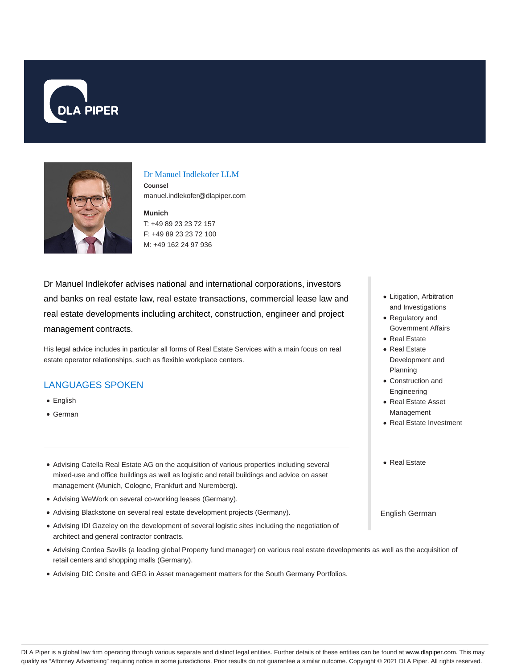



### Dr Manuel Indlekofer LLM

**Counsel** manuel.indlekofer@dlapiper.com

**Munich** T: +49 89 23 23 72 157 F: +49 89 23 23 72 100 M: +49 162 24 97 936

Dr Manuel Indlekofer advises national and international corporations, investors and banks on real estate law, real estate transactions, commercial lease law and real estate developments including architect, construction, engineer and project management contracts.

His legal advice includes in particular all forms of Real Estate Services with a main focus on real estate operator relationships, such as flexible workplace centers.

## LANGUAGES SPOKEN

- English
- German
- Advising Catella Real Estate AG on the acquisition of various properties including several mixed-use and office buildings as well as logistic and retail buildings and advice on asset management (Munich, Cologne, Frankfurt and Nuremberg).
- Advising WeWork on several co-working leases (Germany).
- Advising Blackstone on several real estate development projects (Germany).
- Advising IDI Gazeley on the development of several logistic sites including the negotiation of architect and general contractor contracts.
- Advising Cordea Savills (a leading global Property fund manager) on various real estate developments as well as the acquisition of retail centers and shopping malls (Germany).
- Advising DIC Onsite and GEG in Asset management matters for the South Germany Portfolios.
- Litigation, Arbitration and Investigations
- Regulatory and Government Affairs
- Real Estate
- Real Estate Development and Planning
- Construction and Engineering
- Real Estate Asset Management
- Real Estate Investment
- Real Estate

English German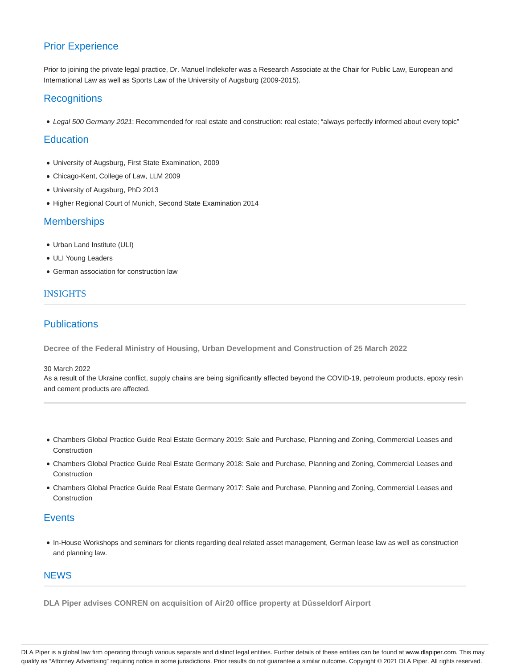# Prior Experience

Prior to joining the private legal practice, Dr. Manuel Indlekofer was a Research Associate at the Chair for Public Law, European and International Law as well as Sports Law of the University of Augsburg (2009-2015).

## **Recognitions**

Legal 500 Germany 2021: Recommended for real estate and construction: real estate; "always perfectly informed about every topic"

### **Education**

- University of Augsburg, First State Examination, 2009
- Chicago-Kent, College of Law, LLM 2009
- University of Augsburg, PhD 2013
- Higher Regional Court of Munich, Second State Examination 2014

## **Memberships**

- Urban Land Institute (ULI)
- ULI Young Leaders
- German association for construction law

## INSIGHTS

## **Publications**

**Decree of the Federal Ministry of Housing, Urban Development and Construction of 25 March 2022**

### 30 March 2022

As a result of the Ukraine conflict, supply chains are being significantly affected beyond the COVID-19, petroleum products, epoxy resin and cement products are affected.

- Chambers Global Practice Guide Real Estate Germany 2019: Sale and Purchase, Planning and Zoning, Commercial Leases and Construction
- Chambers Global Practice Guide Real Estate Germany 2018: Sale and Purchase, Planning and Zoning, Commercial Leases and Construction
- Chambers Global Practice Guide Real Estate Germany 2017: Sale and Purchase, Planning and Zoning, Commercial Leases and Construction

## **Events**

In-House Workshops and seminars for clients regarding deal related asset management, German lease law as well as construction and planning law.

### **NEWS**

**DLA Piper advises CONREN on acquisition of Air20 office property at Düsseldorf Airport**

DLA Piper is a global law firm operating through various separate and distinct legal entities. Further details of these entities can be found at www.dlapiper.com. This may qualify as "Attorney Advertising" requiring notice in some jurisdictions. Prior results do not guarantee a similar outcome. Copyright © 2021 DLA Piper. All rights reserved.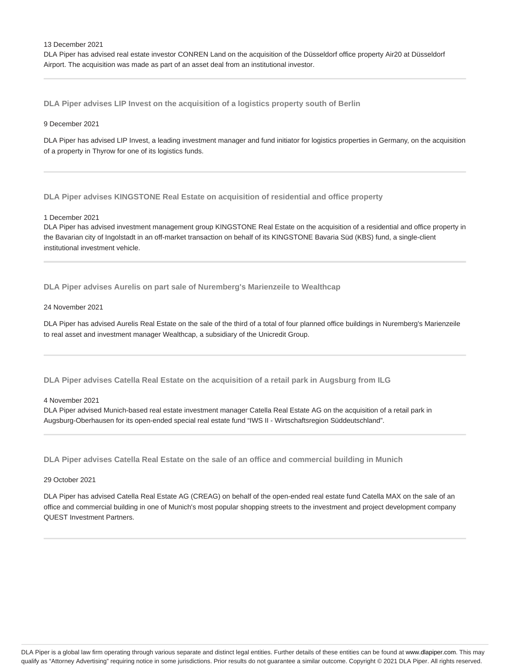13 December 2021

DLA Piper has advised real estate investor CONREN Land on the acquisition of the Düsseldorf office property Air20 at Düsseldorf Airport. The acquisition was made as part of an asset deal from an institutional investor.

**DLA Piper advises LIP Invest on the acquisition of a logistics property south of Berlin**

### 9 December 2021

DLA Piper has advised LIP Invest, a leading investment manager and fund initiator for logistics properties in Germany, on the acquisition of a property in Thyrow for one of its logistics funds.

**DLA Piper advises KINGSTONE Real Estate on acquisition of residential and office property**

1 December 2021

DLA Piper has advised investment management group KINGSTONE Real Estate on the acquisition of a residential and office property in the Bavarian city of Ingolstadt in an off-market transaction on behalf of its KINGSTONE Bavaria Süd (KBS) fund, a single-client institutional investment vehicle.

**DLA Piper advises Aurelis on part sale of Nuremberg's Marienzeile to Wealthcap**

### 24 November 2021

DLA Piper has advised Aurelis Real Estate on the sale of the third of a total of four planned office buildings in Nuremberg's Marienzeile to real asset and investment manager Wealthcap, a subsidiary of the Unicredit Group.

**DLA Piper advises Catella Real Estate on the acquisition of a retail park in Augsburg from ILG**

4 November 2021

DLA Piper advised Munich-based real estate investment manager Catella Real Estate AG on the acquisition of a retail park in Augsburg-Oberhausen for its open-ended special real estate fund "IWS II - Wirtschaftsregion Süddeutschland".

**DLA Piper advises Catella Real Estate on the sale of an office and commercial building in Munich**

### 29 October 2021

DLA Piper has advised Catella Real Estate AG (CREAG) on behalf of the open-ended real estate fund Catella MAX on the sale of an office and commercial building in one of Munich's most popular shopping streets to the investment and project development company QUEST Investment Partners.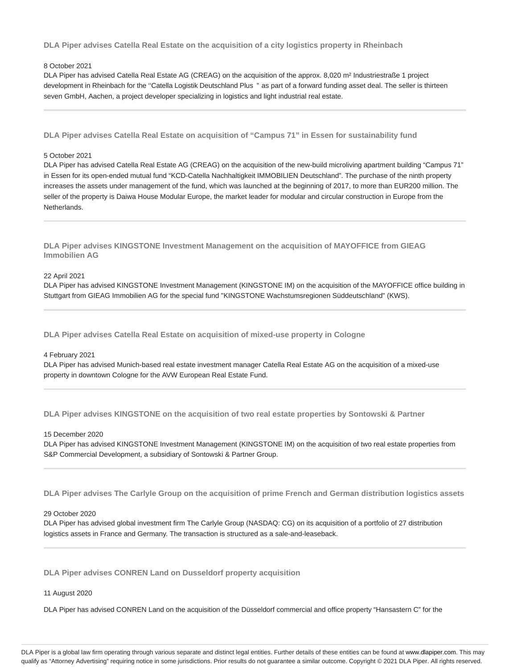**DLA Piper advises Catella Real Estate on the acquisition of a city logistics property in Rheinbach**

### 8 October 2021

DLA Piper has advised Catella Real Estate AG (CREAG) on the acquisition of the approx. 8,020 m<sup>2</sup> Industriestraße 1 project development in Rheinbach for the "Catella Logistik Deutschland Plus " as part of a forward funding asset deal. The seller is thirteen seven GmbH, Aachen, a project developer specializing in logistics and light industrial real estate.

**DLA Piper advises Catella Real Estate on acquisition of "Campus 71" in Essen for sustainability fund**

#### 5 October 2021

DLA Piper has advised Catella Real Estate AG (CREAG) on the acquisition of the new-build microliving apartment building "Campus 71" in Essen for its open-ended mutual fund "KCD-Catella Nachhaltigkeit IMMOBILIEN Deutschland". The purchase of the ninth property increases the assets under management of the fund, which was launched at the beginning of 2017, to more than EUR200 million. The seller of the property is Daiwa House Modular Europe, the market leader for modular and circular construction in Europe from the Netherlands.

**DLA Piper advises KINGSTONE Investment Management on the acquisition of MAYOFFICE from GIEAG Immobilien AG**

22 April 2021

DLA Piper has advised KINGSTONE Investment Management (KINGSTONE IM) on the acquisition of the MAYOFFICE office building in Stuttgart from GIEAG Immobilien AG for the special fund "KINGSTONE Wachstumsregionen Süddeutschland" (KWS).

**DLA Piper advises Catella Real Estate on acquisition of mixed-use property in Cologne**

### 4 February 2021

DLA Piper has advised Munich-based real estate investment manager Catella Real Estate AG on the acquisition of a mixed-use property in downtown Cologne for the AVW European Real Estate Fund.

**DLA Piper advises KINGSTONE on the acquisition of two real estate properties by Sontowski & Partner**

15 December 2020

DLA Piper has advised KINGSTONE Investment Management (KINGSTONE IM) on the acquisition of two real estate properties from S&P Commercial Development, a subsidiary of Sontowski & Partner Group.

**DLA Piper advises The Carlyle Group on the acquisition of prime French and German distribution logistics assets**

#### 29 October 2020

DLA Piper has advised global investment firm The Carlyle Group (NASDAQ: CG) on its acquisition of a portfolio of 27 distribution logistics assets in France and Germany. The transaction is structured as a sale-and-leaseback.

**DLA Piper advises CONREN Land on Dusseldorf property acquisition**

### 11 August 2020

DLA Piper has advised CONREN Land on the acquisition of the Düsseldorf commercial and office property "Hansastern C" for the

DLA Piper is a global law firm operating through various separate and distinct legal entities. Further details of these entities can be found at www.dlapiper.com. This may qualify as "Attorney Advertising" requiring notice in some jurisdictions. Prior results do not guarantee a similar outcome. Copyright @ 2021 DLA Piper. All rights reserved.